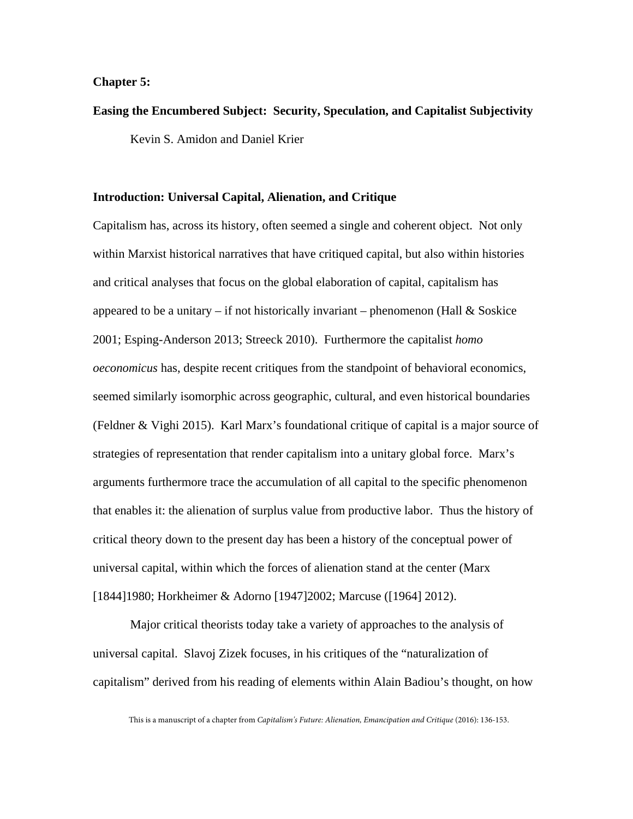### **Chapter 5:**

# **Easing the Encumbered Subject: Security, Speculation, and Capitalist Subjectivity**

Kevin S. Amidon and Daniel Krier

## **Introduction: Universal Capital, Alienation, and Critique**

Capitalism has, across its history, often seemed a single and coherent object. Not only within Marxist historical narratives that have critiqued capital, but also within histories and critical analyses that focus on the global elaboration of capital, capitalism has appeared to be a unitary – if not historically invariant – phenomenon (Hall  $\&$  Soskice 2001; Esping-Anderson 2013; Streeck 2010). Furthermore the capitalist *homo oeconomicus* has, despite recent critiques from the standpoint of behavioral economics, seemed similarly isomorphic across geographic, cultural, and even historical boundaries (Feldner & Vighi 2015). Karl Marx's foundational critique of capital is a major source of strategies of representation that render capitalism into a unitary global force. Marx's arguments furthermore trace the accumulation of all capital to the specific phenomenon that enables it: the alienation of surplus value from productive labor. Thus the history of critical theory down to the present day has been a history of the conceptual power of universal capital, within which the forces of alienation stand at the center (Marx [1844]1980; Horkheimer & Adorno [1947]2002; Marcuse ([1964] 2012).

Major critical theorists today take a variety of approaches to the analysis of universal capital. Slavoj Zizek focuses, in his critiques of the "naturalization of capitalism" derived from his reading of elements within Alain Badiou's thought, on how

This is a manuscript of a chapter from *Capitalism's Future: Alienation, Emancipation and Critique* (2016): 136-153.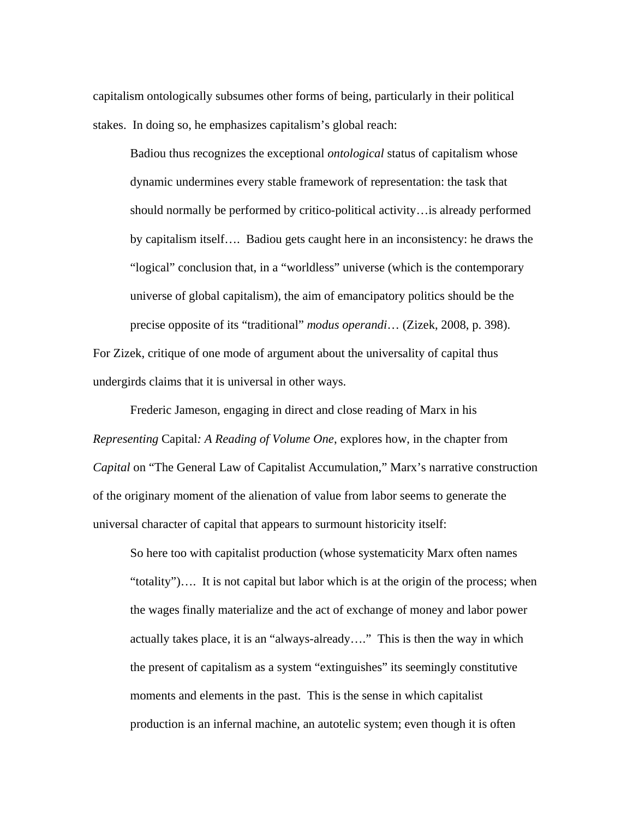capitalism ontologically subsumes other forms of being, particularly in their political stakes. In doing so, he emphasizes capitalism's global reach:

Badiou thus recognizes the exceptional *ontological* status of capitalism whose dynamic undermines every stable framework of representation: the task that should normally be performed by critico-political activity…is already performed by capitalism itself…. Badiou gets caught here in an inconsistency: he draws the "logical" conclusion that, in a "worldless" universe (which is the contemporary universe of global capitalism), the aim of emancipatory politics should be the precise opposite of its "traditional" *modus operandi*… (Zizek, 2008, p. 398).

For Zizek, critique of one mode of argument about the universality of capital thus undergirds claims that it is universal in other ways.

Frederic Jameson, engaging in direct and close reading of Marx in his *Representing* Capital*: A Reading of Volume One*, explores how, in the chapter from *Capital* on "The General Law of Capitalist Accumulation," Marx's narrative construction of the originary moment of the alienation of value from labor seems to generate the universal character of capital that appears to surmount historicity itself:

So here too with capitalist production (whose systematicity Marx often names "totality")…. It is not capital but labor which is at the origin of the process; when the wages finally materialize and the act of exchange of money and labor power actually takes place, it is an "always-already…." This is then the way in which the present of capitalism as a system "extinguishes" its seemingly constitutive moments and elements in the past. This is the sense in which capitalist production is an infernal machine, an autotelic system; even though it is often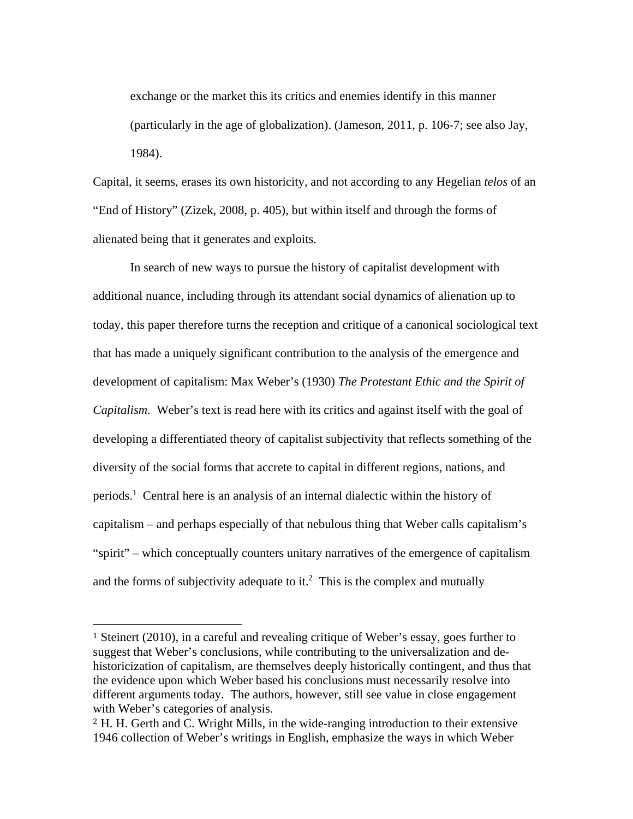exchange or the market this its critics and enemies identify in this manner (particularly in the age of globalization). (Jameson, 2011, p. 106-7; see also Jay, 1984).

Capital, it seems, erases its own historicity, and not according to any Hegelian *telos* of an "End of History" (Zizek, 2008, p. 405), but within itself and through the forms of alienated being that it generates and exploits.

In search of new ways to pursue the history of capitalist development with additional nuance, including through its attendant social dynamics of alienation up to today, this paper therefore turns the reception and critique of a canonical sociological text that has made a uniquely significant contribution to the analysis of the emergence and development of capitalism: Max Weber's (1930) *The Protestant Ethic and the Spirit of Capitalism*. Weber's text is read here with its critics and against itself with the goal of developing a differentiated theory of capitalist subjectivity that reflects something of the diversity of the social forms that accrete to capital in different regions, nations, and periods.1 Central here is an analysis of an internal dialectic within the history of capitalism – and perhaps especially of that nebulous thing that Weber calls capitalism's "spirit" – which conceptually counters unitary narratives of the emergence of capitalism and the forms of subjectivity adequate to it.<sup>2</sup> This is the complex and mutually

<sup>1</sup> Steinert (2010), in a careful and revealing critique of Weber's essay, goes further to suggest that Weber's conclusions, while contributing to the universalization and dehistoricization of capitalism, are themselves deeply historically contingent, and thus that the evidence upon which Weber based his conclusions must necessarily resolve into different arguments today. The authors, however, still see value in close engagement with Weber's categories of analysis.

<sup>2</sup> H. H. Gerth and C. Wright Mills, in the wide-ranging introduction to their extensive 1946 collection of Weber's writings in English, emphasize the ways in which Weber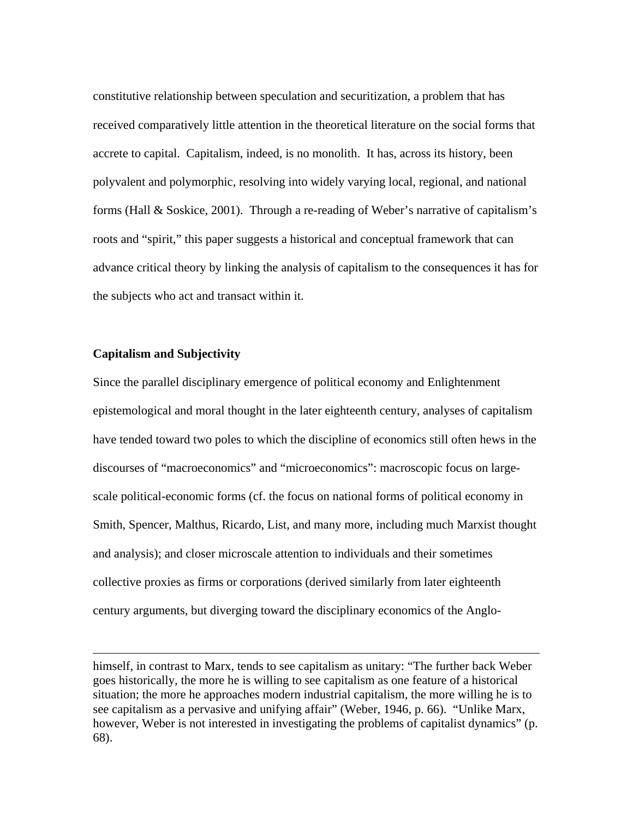constitutive relationship between speculation and securitization, a problem that has received comparatively little attention in the theoretical literature on the social forms that accrete to capital. Capitalism, indeed, is no monolith. It has, across its history, been polyvalent and polymorphic, resolving into widely varying local, regional, and national forms (Hall & Soskice, 2001). Through a re-reading of Weber's narrative of capitalism's roots and "spirit," this paper suggests a historical and conceptual framework that can advance critical theory by linking the analysis of capitalism to the consequences it has for the subjects who act and transact within it.

# **Capitalism and Subjectivity**

Since the parallel disciplinary emergence of political economy and Enlightenment epistemological and moral thought in the later eighteenth century, analyses of capitalism have tended toward two poles to which the discipline of economics still often hews in the discourses of "macroeconomics" and "microeconomics": macroscopic focus on largescale political-economic forms (cf. the focus on national forms of political economy in Smith, Spencer, Malthus, Ricardo, List, and many more, including much Marxist thought and analysis); and closer microscale attention to individuals and their sometimes collective proxies as firms or corporations (derived similarly from later eighteenth century arguments, but diverging toward the disciplinary economics of the Anglo-

<u> 1989 - Andrea San Andrew Maria (h. 1989).</u><br>1900 - Andrew Maria (h. 1980).

himself, in contrast to Marx, tends to see capitalism as unitary: "The further back Weber goes historically, the more he is willing to see capitalism as one feature of a historical situation; the more he approaches modern industrial capitalism, the more willing he is to see capitalism as a pervasive and unifying affair" (Weber, 1946, p. 66). "Unlike Marx, however, Weber is not interested in investigating the problems of capitalist dynamics" (p. 68).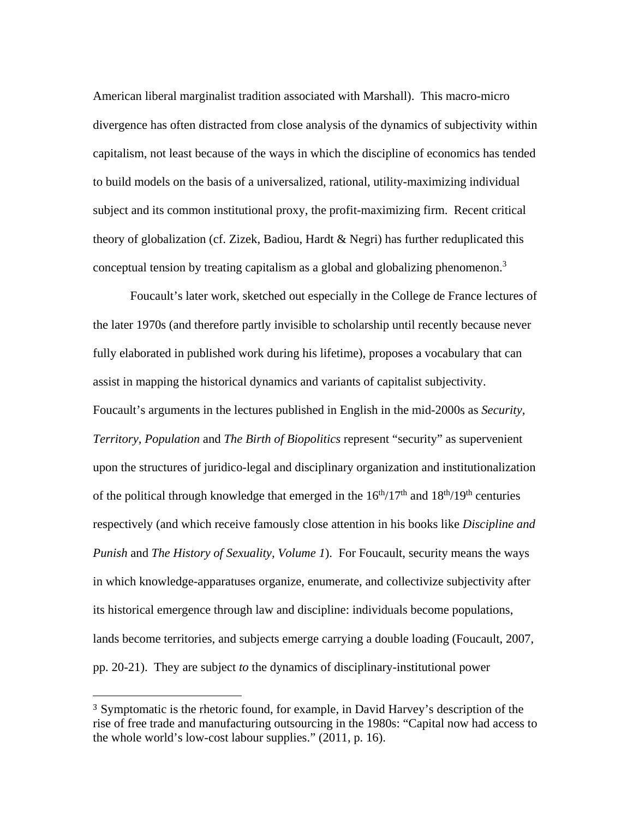American liberal marginalist tradition associated with Marshall). This macro-micro divergence has often distracted from close analysis of the dynamics of subjectivity within capitalism, not least because of the ways in which the discipline of economics has tended to build models on the basis of a universalized, rational, utility-maximizing individual subject and its common institutional proxy, the profit-maximizing firm. Recent critical theory of globalization (cf. Zizek, Badiou, Hardt & Negri) has further reduplicated this conceptual tension by treating capitalism as a global and globalizing phenomenon.<sup>3</sup>

 Foucault's later work, sketched out especially in the College de France lectures of the later 1970s (and therefore partly invisible to scholarship until recently because never fully elaborated in published work during his lifetime), proposes a vocabulary that can assist in mapping the historical dynamics and variants of capitalist subjectivity. Foucault's arguments in the lectures published in English in the mid-2000s as *Security, Territory, Population* and *The Birth of Biopolitics* represent "security" as supervenient upon the structures of juridico-legal and disciplinary organization and institutionalization of the political through knowledge that emerged in the  $16<sup>th</sup>/17<sup>th</sup>$  and  $18<sup>th</sup>/19<sup>th</sup>$  centuries respectively (and which receive famously close attention in his books like *Discipline and Punish* and *The History of Sexuality, Volume 1*). For Foucault, security means the ways in which knowledge-apparatuses organize, enumerate, and collectivize subjectivity after its historical emergence through law and discipline: individuals become populations, lands become territories, and subjects emerge carrying a double loading (Foucault, 2007, pp. 20-21). They are subject *to* the dynamics of disciplinary-institutional power

<sup>3</sup> Symptomatic is the rhetoric found, for example, in David Harvey's description of the rise of free trade and manufacturing outsourcing in the 1980s: "Capital now had access to the whole world's low-cost labour supplies." (2011, p. 16).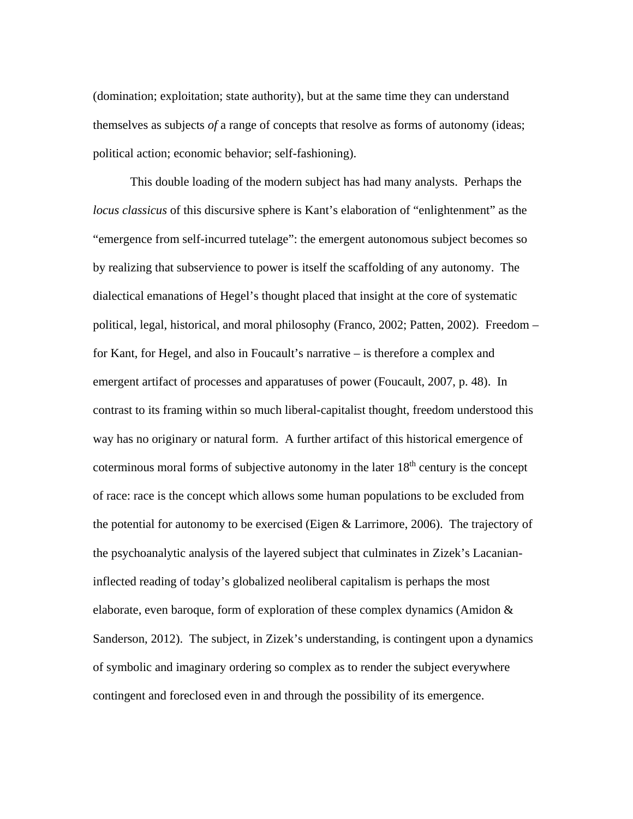(domination; exploitation; state authority), but at the same time they can understand themselves as subjects *of* a range of concepts that resolve as forms of autonomy (ideas; political action; economic behavior; self-fashioning).

 This double loading of the modern subject has had many analysts. Perhaps the *locus classicus* of this discursive sphere is Kant's elaboration of "enlightenment" as the "emergence from self-incurred tutelage": the emergent autonomous subject becomes so by realizing that subservience to power is itself the scaffolding of any autonomy. The dialectical emanations of Hegel's thought placed that insight at the core of systematic political, legal, historical, and moral philosophy (Franco, 2002; Patten, 2002). Freedom – for Kant, for Hegel, and also in Foucault's narrative – is therefore a complex and emergent artifact of processes and apparatuses of power (Foucault, 2007, p. 48). In contrast to its framing within so much liberal-capitalist thought, freedom understood this way has no originary or natural form. A further artifact of this historical emergence of coterminous moral forms of subjective autonomy in the later  $18<sup>th</sup>$  century is the concept of race: race is the concept which allows some human populations to be excluded from the potential for autonomy to be exercised (Eigen & Larrimore, 2006). The trajectory of the psychoanalytic analysis of the layered subject that culminates in Zizek's Lacanianinflected reading of today's globalized neoliberal capitalism is perhaps the most elaborate, even baroque, form of exploration of these complex dynamics (Amidon  $\&$ Sanderson, 2012). The subject, in Zizek's understanding, is contingent upon a dynamics of symbolic and imaginary ordering so complex as to render the subject everywhere contingent and foreclosed even in and through the possibility of its emergence.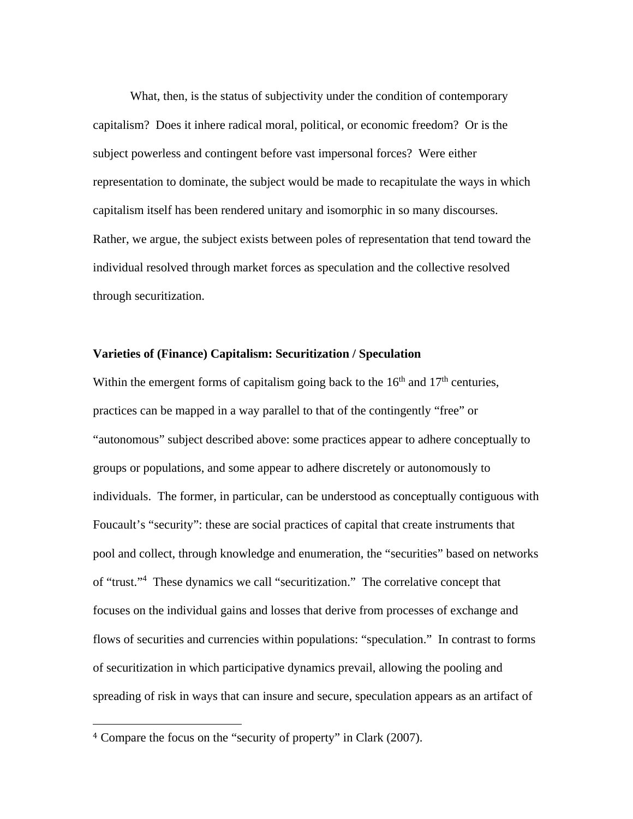What, then, is the status of subjectivity under the condition of contemporary capitalism? Does it inhere radical moral, political, or economic freedom? Or is the subject powerless and contingent before vast impersonal forces? Were either representation to dominate, the subject would be made to recapitulate the ways in which capitalism itself has been rendered unitary and isomorphic in so many discourses. Rather, we argue, the subject exists between poles of representation that tend toward the individual resolved through market forces as speculation and the collective resolved through securitization.

# **Varieties of (Finance) Capitalism: Securitization / Speculation**

Within the emergent forms of capitalism going back to the  $16<sup>th</sup>$  and  $17<sup>th</sup>$  centuries, practices can be mapped in a way parallel to that of the contingently "free" or "autonomous" subject described above: some practices appear to adhere conceptually to groups or populations, and some appear to adhere discretely or autonomously to individuals. The former, in particular, can be understood as conceptually contiguous with Foucault's "security": these are social practices of capital that create instruments that pool and collect, through knowledge and enumeration, the "securities" based on networks of "trust."4 These dynamics we call "securitization." The correlative concept that focuses on the individual gains and losses that derive from processes of exchange and flows of securities and currencies within populations: "speculation." In contrast to forms of securitization in which participative dynamics prevail, allowing the pooling and spreading of risk in ways that can insure and secure, speculation appears as an artifact of

<sup>4</sup> Compare the focus on the "security of property" in Clark (2007).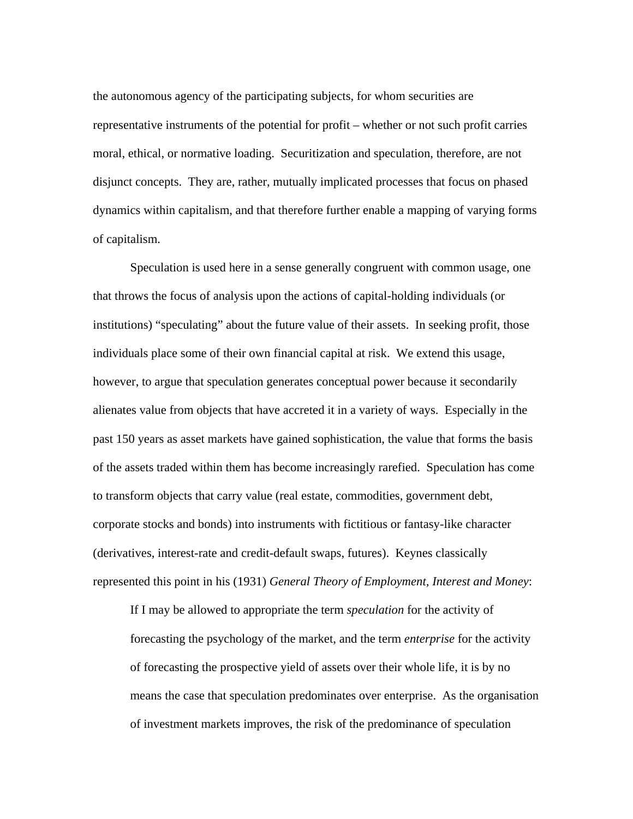the autonomous agency of the participating subjects, for whom securities are representative instruments of the potential for profit – whether or not such profit carries moral, ethical, or normative loading. Securitization and speculation, therefore, are not disjunct concepts. They are, rather, mutually implicated processes that focus on phased dynamics within capitalism, and that therefore further enable a mapping of varying forms of capitalism.

 Speculation is used here in a sense generally congruent with common usage, one that throws the focus of analysis upon the actions of capital-holding individuals (or institutions) "speculating" about the future value of their assets. In seeking profit, those individuals place some of their own financial capital at risk. We extend this usage, however, to argue that speculation generates conceptual power because it secondarily alienates value from objects that have accreted it in a variety of ways. Especially in the past 150 years as asset markets have gained sophistication, the value that forms the basis of the assets traded within them has become increasingly rarefied. Speculation has come to transform objects that carry value (real estate, commodities, government debt, corporate stocks and bonds) into instruments with fictitious or fantasy-like character (derivatives, interest-rate and credit-default swaps, futures). Keynes classically represented this point in his (1931) *General Theory of Employment, Interest and Money*:

If I may be allowed to appropriate the term *speculation* for the activity of forecasting the psychology of the market, and the term *enterprise* for the activity of forecasting the prospective yield of assets over their whole life, it is by no means the case that speculation predominates over enterprise. As the organisation of investment markets improves, the risk of the predominance of speculation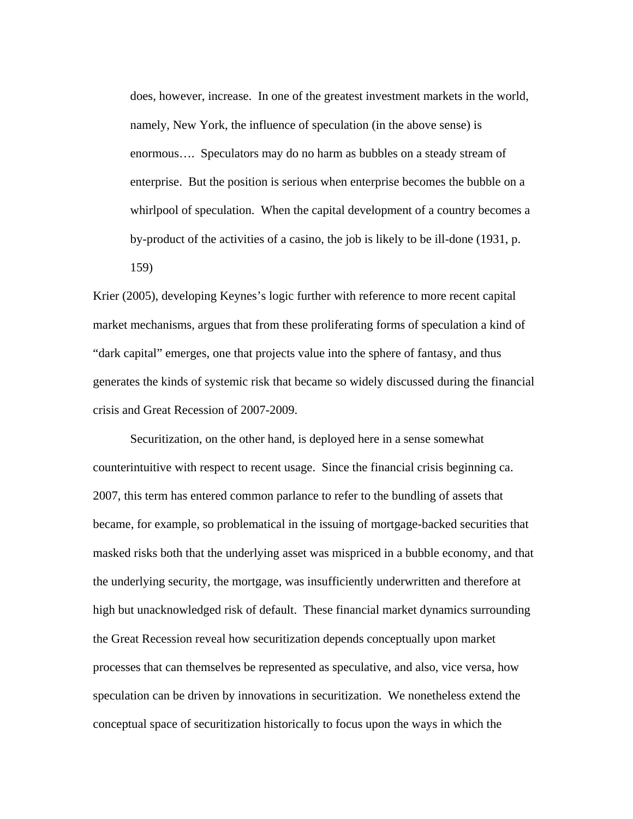does, however, increase. In one of the greatest investment markets in the world, namely, New York, the influence of speculation (in the above sense) is enormous…. Speculators may do no harm as bubbles on a steady stream of enterprise. But the position is serious when enterprise becomes the bubble on a whirlpool of speculation. When the capital development of a country becomes a by-product of the activities of a casino, the job is likely to be ill-done (1931, p. 159)

Krier (2005), developing Keynes's logic further with reference to more recent capital market mechanisms, argues that from these proliferating forms of speculation a kind of "dark capital" emerges, one that projects value into the sphere of fantasy, and thus generates the kinds of systemic risk that became so widely discussed during the financial crisis and Great Recession of 2007-2009.

 Securitization, on the other hand, is deployed here in a sense somewhat counterintuitive with respect to recent usage. Since the financial crisis beginning ca. 2007, this term has entered common parlance to refer to the bundling of assets that became, for example, so problematical in the issuing of mortgage-backed securities that masked risks both that the underlying asset was mispriced in a bubble economy, and that the underlying security, the mortgage, was insufficiently underwritten and therefore at high but unacknowledged risk of default. These financial market dynamics surrounding the Great Recession reveal how securitization depends conceptually upon market processes that can themselves be represented as speculative, and also, vice versa, how speculation can be driven by innovations in securitization. We nonetheless extend the conceptual space of securitization historically to focus upon the ways in which the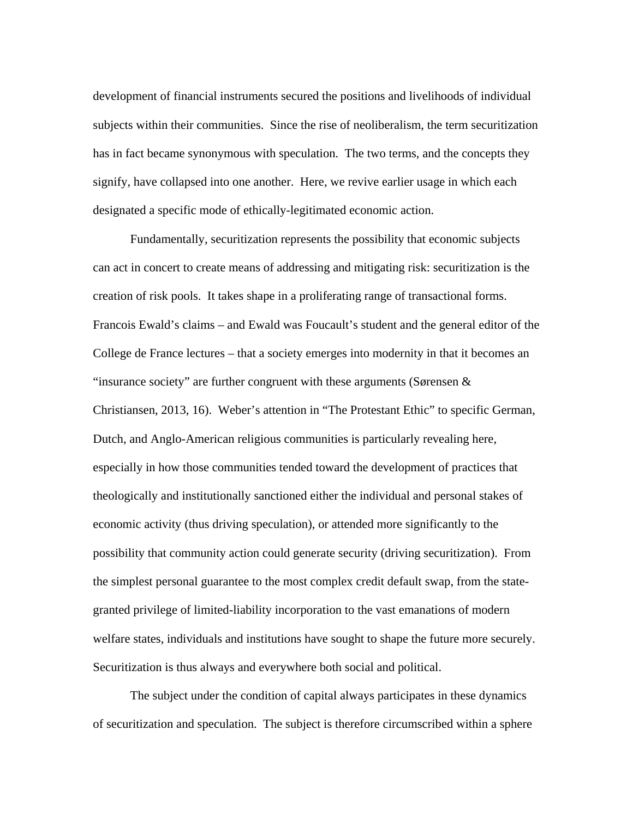development of financial instruments secured the positions and livelihoods of individual subjects within their communities. Since the rise of neoliberalism, the term securitization has in fact became synonymous with speculation. The two terms, and the concepts they signify, have collapsed into one another. Here, we revive earlier usage in which each designated a specific mode of ethically-legitimated economic action.

Fundamentally, securitization represents the possibility that economic subjects can act in concert to create means of addressing and mitigating risk: securitization is the creation of risk pools. It takes shape in a proliferating range of transactional forms. Francois Ewald's claims – and Ewald was Foucault's student and the general editor of the College de France lectures – that a society emerges into modernity in that it becomes an "insurance society" are further congruent with these arguments (Sørensen  $\&$ Christiansen, 2013, 16). Weber's attention in "The Protestant Ethic" to specific German, Dutch, and Anglo-American religious communities is particularly revealing here, especially in how those communities tended toward the development of practices that theologically and institutionally sanctioned either the individual and personal stakes of economic activity (thus driving speculation), or attended more significantly to the possibility that community action could generate security (driving securitization). From the simplest personal guarantee to the most complex credit default swap, from the stategranted privilege of limited-liability incorporation to the vast emanations of modern welfare states, individuals and institutions have sought to shape the future more securely. Securitization is thus always and everywhere both social and political.

 The subject under the condition of capital always participates in these dynamics of securitization and speculation. The subject is therefore circumscribed within a sphere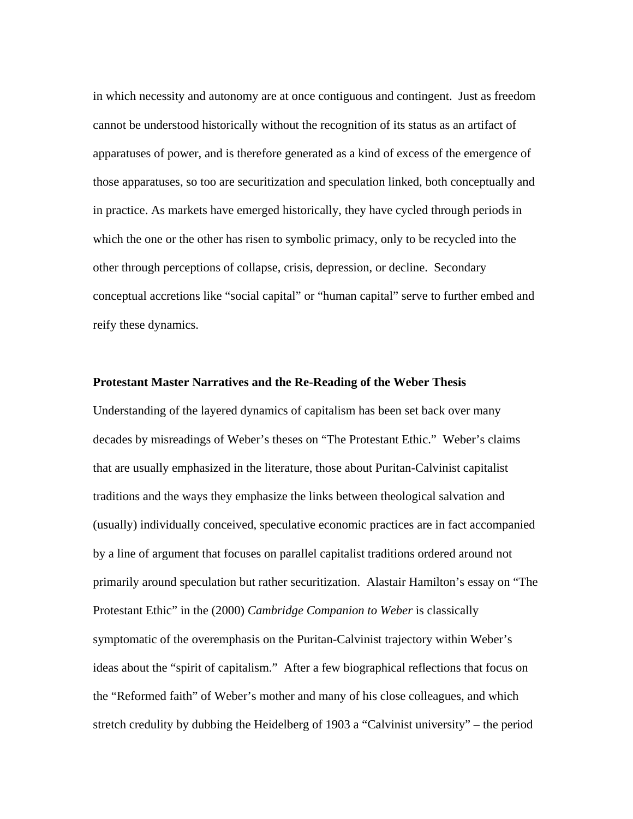in which necessity and autonomy are at once contiguous and contingent. Just as freedom cannot be understood historically without the recognition of its status as an artifact of apparatuses of power, and is therefore generated as a kind of excess of the emergence of those apparatuses, so too are securitization and speculation linked, both conceptually and in practice. As markets have emerged historically, they have cycled through periods in which the one or the other has risen to symbolic primacy, only to be recycled into the other through perceptions of collapse, crisis, depression, or decline. Secondary conceptual accretions like "social capital" or "human capital" serve to further embed and reify these dynamics.

### **Protestant Master Narratives and the Re-Reading of the Weber Thesis**

Understanding of the layered dynamics of capitalism has been set back over many decades by misreadings of Weber's theses on "The Protestant Ethic." Weber's claims that are usually emphasized in the literature, those about Puritan-Calvinist capitalist traditions and the ways they emphasize the links between theological salvation and (usually) individually conceived, speculative economic practices are in fact accompanied by a line of argument that focuses on parallel capitalist traditions ordered around not primarily around speculation but rather securitization. Alastair Hamilton's essay on "The Protestant Ethic" in the (2000) *Cambridge Companion to Weber* is classically symptomatic of the overemphasis on the Puritan-Calvinist trajectory within Weber's ideas about the "spirit of capitalism." After a few biographical reflections that focus on the "Reformed faith" of Weber's mother and many of his close colleagues, and which stretch credulity by dubbing the Heidelberg of 1903 a "Calvinist university" – the period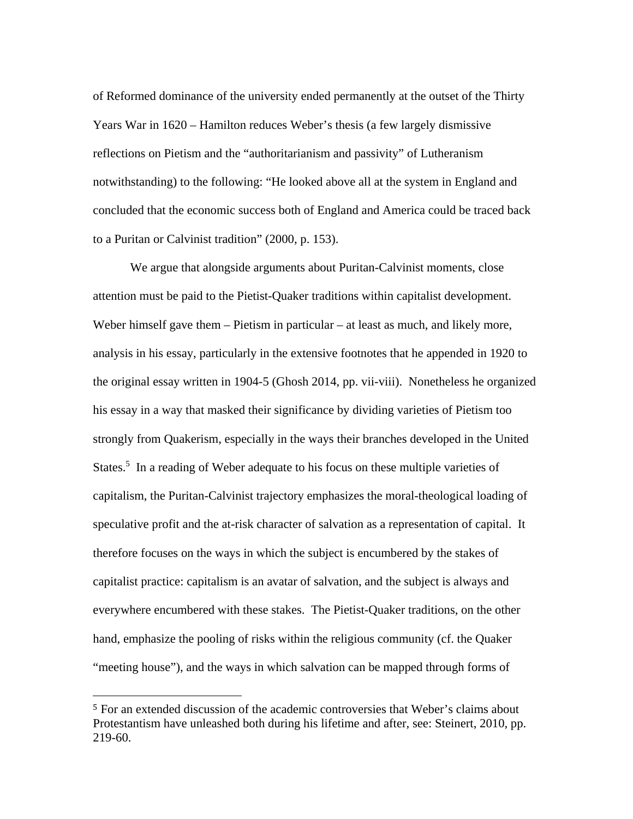of Reformed dominance of the university ended permanently at the outset of the Thirty Years War in 1620 – Hamilton reduces Weber's thesis (a few largely dismissive reflections on Pietism and the "authoritarianism and passivity" of Lutheranism notwithstanding) to the following: "He looked above all at the system in England and concluded that the economic success both of England and America could be traced back to a Puritan or Calvinist tradition" (2000, p. 153).

We argue that alongside arguments about Puritan-Calvinist moments, close attention must be paid to the Pietist-Quaker traditions within capitalist development. Weber himself gave them – Pietism in particular – at least as much, and likely more, analysis in his essay, particularly in the extensive footnotes that he appended in 1920 to the original essay written in 1904-5 (Ghosh 2014, pp. vii-viii). Nonetheless he organized his essay in a way that masked their significance by dividing varieties of Pietism too strongly from Quakerism, especially in the ways their branches developed in the United States.<sup>5</sup> In a reading of Weber adequate to his focus on these multiple varieties of capitalism, the Puritan-Calvinist trajectory emphasizes the moral-theological loading of speculative profit and the at-risk character of salvation as a representation of capital. It therefore focuses on the ways in which the subject is encumbered by the stakes of capitalist practice: capitalism is an avatar of salvation, and the subject is always and everywhere encumbered with these stakes. The Pietist-Quaker traditions, on the other hand, emphasize the pooling of risks within the religious community (cf. the Quaker "meeting house"), and the ways in which salvation can be mapped through forms of

<sup>5</sup> For an extended discussion of the academic controversies that Weber's claims about Protestantism have unleashed both during his lifetime and after, see: Steinert, 2010, pp. 219-60.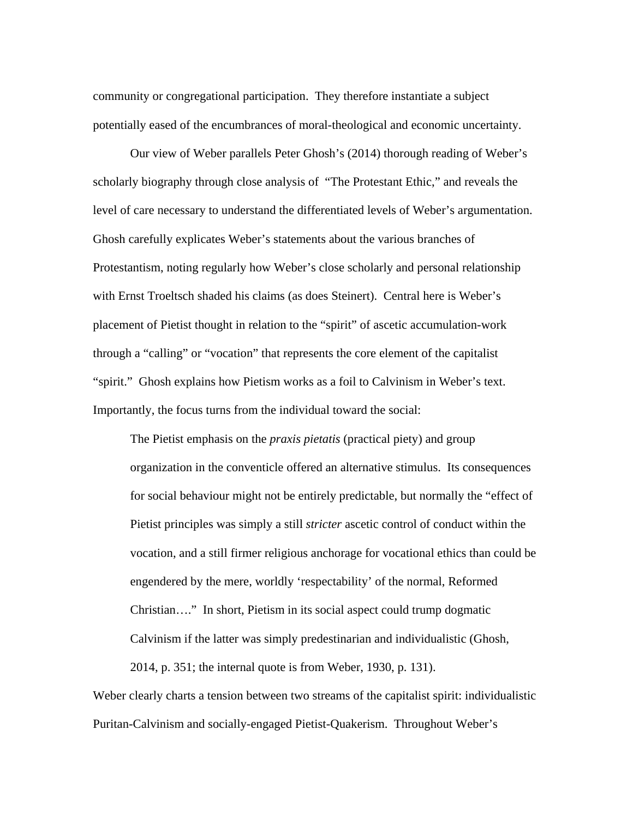community or congregational participation. They therefore instantiate a subject potentially eased of the encumbrances of moral-theological and economic uncertainty.

Our view of Weber parallels Peter Ghosh's (2014) thorough reading of Weber's scholarly biography through close analysis of "The Protestant Ethic," and reveals the level of care necessary to understand the differentiated levels of Weber's argumentation. Ghosh carefully explicates Weber's statements about the various branches of Protestantism, noting regularly how Weber's close scholarly and personal relationship with Ernst Troeltsch shaded his claims (as does Steinert). Central here is Weber's placement of Pietist thought in relation to the "spirit" of ascetic accumulation-work through a "calling" or "vocation" that represents the core element of the capitalist "spirit." Ghosh explains how Pietism works as a foil to Calvinism in Weber's text. Importantly, the focus turns from the individual toward the social:

The Pietist emphasis on the *praxis pietatis* (practical piety) and group organization in the conventicle offered an alternative stimulus. Its consequences for social behaviour might not be entirely predictable, but normally the "effect of Pietist principles was simply a still *stricter* ascetic control of conduct within the vocation, and a still firmer religious anchorage for vocational ethics than could be engendered by the mere, worldly 'respectability' of the normal, Reformed Christian…." In short, Pietism in its social aspect could trump dogmatic Calvinism if the latter was simply predestinarian and individualistic (Ghosh, 2014, p. 351; the internal quote is from Weber, 1930, p. 131).

Weber clearly charts a tension between two streams of the capitalist spirit: individualistic Puritan-Calvinism and socially-engaged Pietist-Quakerism. Throughout Weber's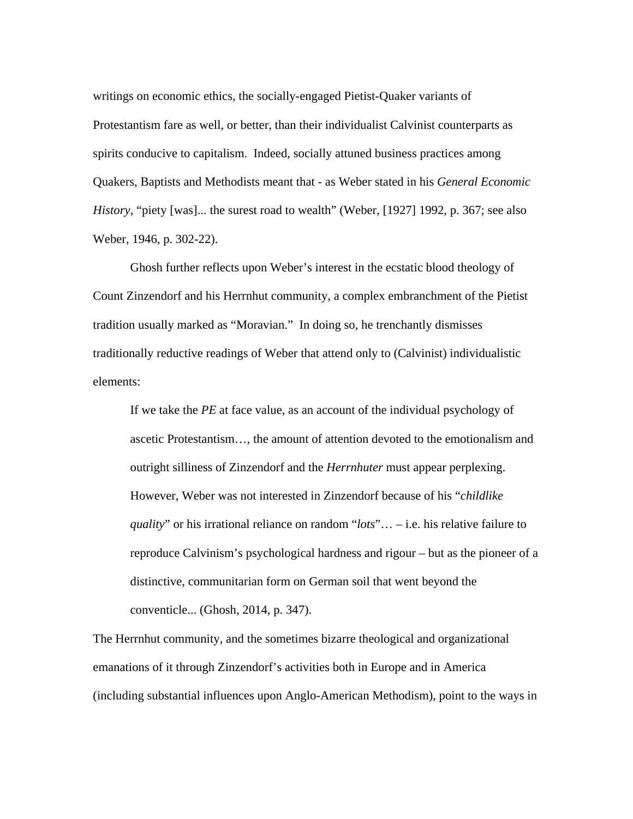writings on economic ethics, the socially-engaged Pietist-Quaker variants of Protestantism fare as well, or better, than their individualist Calvinist counterparts as spirits conducive to capitalism. Indeed, socially attuned business practices among Quakers, Baptists and Methodists meant that - as Weber stated in his *General Economic History*, "piety [was]... the surest road to wealth" (Weber, [1927] 1992, p. 367; see also Weber, 1946, p. 302-22).

Ghosh further reflects upon Weber's interest in the ecstatic blood theology of Count Zinzendorf and his Herrnhut community, a complex embranchment of the Pietist tradition usually marked as "Moravian." In doing so, he trenchantly dismisses traditionally reductive readings of Weber that attend only to (Calvinist) individualistic elements:

If we take the *PE* at face value, as an account of the individual psychology of ascetic Protestantism…, the amount of attention devoted to the emotionalism and outright silliness of Zinzendorf and the *Herrnhuter* must appear perplexing. However, Weber was not interested in Zinzendorf because of his "*childlike quality*" or his irrational reliance on random "*lots*"… – i.e. his relative failure to reproduce Calvinism's psychological hardness and rigour – but as the pioneer of a distinctive, communitarian form on German soil that went beyond the conventicle... (Ghosh, 2014, p. 347).

The Herrnhut community, and the sometimes bizarre theological and organizational emanations of it through Zinzendorf's activities both in Europe and in America (including substantial influences upon Anglo-American Methodism), point to the ways in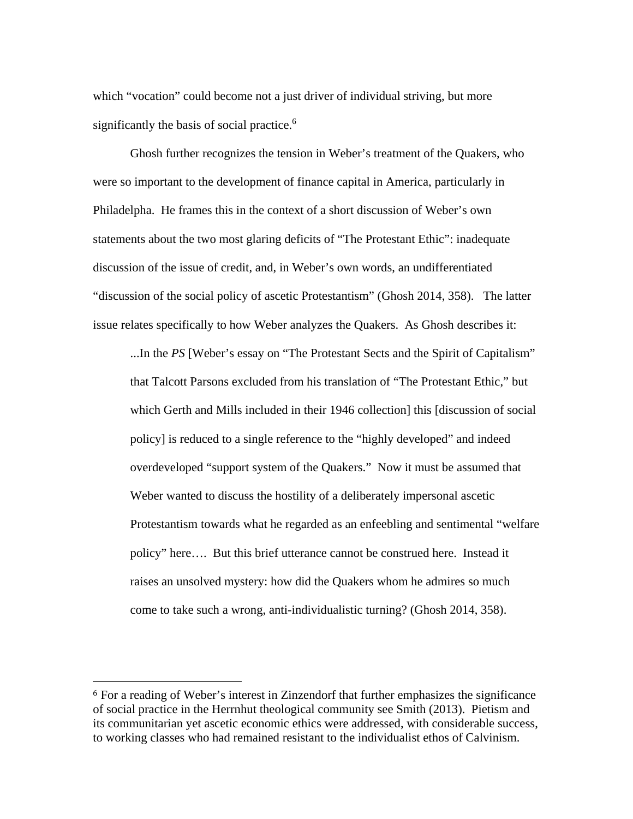which "vocation" could become not a just driver of individual striving, but more significantly the basis of social practice.<sup>6</sup>

Ghosh further recognizes the tension in Weber's treatment of the Quakers, who were so important to the development of finance capital in America, particularly in Philadelpha. He frames this in the context of a short discussion of Weber's own statements about the two most glaring deficits of "The Protestant Ethic": inadequate discussion of the issue of credit, and, in Weber's own words, an undifferentiated "discussion of the social policy of ascetic Protestantism" (Ghosh 2014, 358). The latter issue relates specifically to how Weber analyzes the Quakers. As Ghosh describes it:

...In the *PS* [Weber's essay on "The Protestant Sects and the Spirit of Capitalism" that Talcott Parsons excluded from his translation of "The Protestant Ethic," but which Gerth and Mills included in their 1946 collection] this [discussion of social policy] is reduced to a single reference to the "highly developed" and indeed overdeveloped "support system of the Quakers." Now it must be assumed that Weber wanted to discuss the hostility of a deliberately impersonal ascetic Protestantism towards what he regarded as an enfeebling and sentimental "welfare policy" here…. But this brief utterance cannot be construed here. Instead it raises an unsolved mystery: how did the Quakers whom he admires so much come to take such a wrong, anti-individualistic turning? (Ghosh 2014, 358).

<sup>6</sup> For a reading of Weber's interest in Zinzendorf that further emphasizes the significance of social practice in the Herrnhut theological community see Smith (2013). Pietism and its communitarian yet ascetic economic ethics were addressed, with considerable success, to working classes who had remained resistant to the individualist ethos of Calvinism.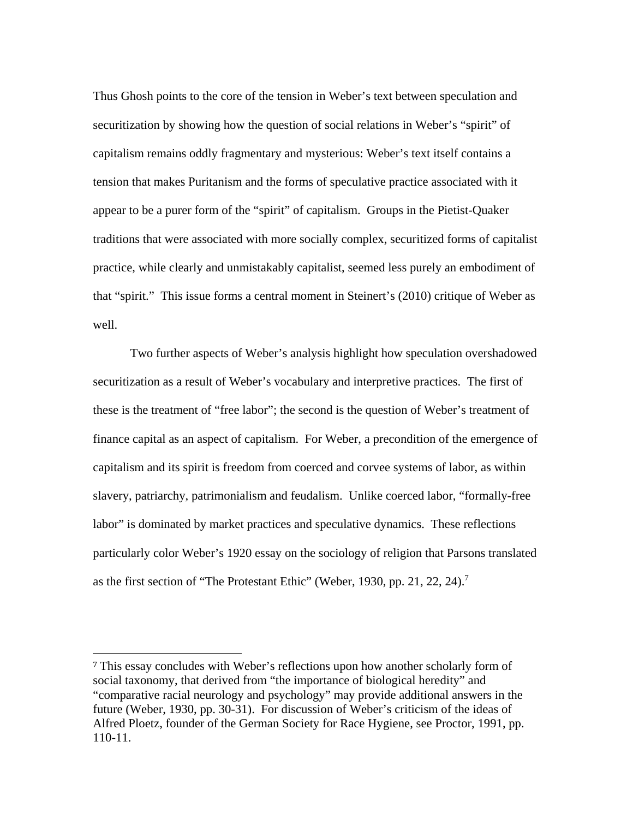Thus Ghosh points to the core of the tension in Weber's text between speculation and securitization by showing how the question of social relations in Weber's "spirit" of capitalism remains oddly fragmentary and mysterious: Weber's text itself contains a tension that makes Puritanism and the forms of speculative practice associated with it appear to be a purer form of the "spirit" of capitalism. Groups in the Pietist-Quaker traditions that were associated with more socially complex, securitized forms of capitalist practice, while clearly and unmistakably capitalist, seemed less purely an embodiment of that "spirit." This issue forms a central moment in Steinert's (2010) critique of Weber as well.

 Two further aspects of Weber's analysis highlight how speculation overshadowed securitization as a result of Weber's vocabulary and interpretive practices. The first of these is the treatment of "free labor"; the second is the question of Weber's treatment of finance capital as an aspect of capitalism. For Weber, a precondition of the emergence of capitalism and its spirit is freedom from coerced and corvee systems of labor, as within slavery, patriarchy, patrimonialism and feudalism. Unlike coerced labor, "formally-free labor" is dominated by market practices and speculative dynamics. These reflections particularly color Weber's 1920 essay on the sociology of religion that Parsons translated as the first section of "The Protestant Ethic" (Weber, 1930, pp. 21, 22, 24).7

<sup>7</sup> This essay concludes with Weber's reflections upon how another scholarly form of social taxonomy, that derived from "the importance of biological heredity" and "comparative racial neurology and psychology" may provide additional answers in the future (Weber, 1930, pp. 30-31). For discussion of Weber's criticism of the ideas of Alfred Ploetz, founder of the German Society for Race Hygiene, see Proctor, 1991, pp. 110-11.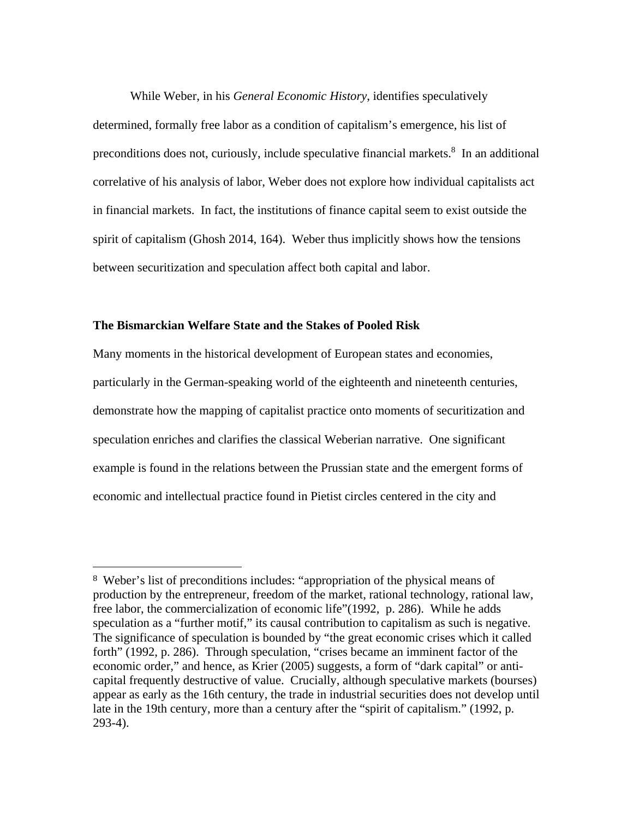While Weber, in his *General Economic History*, identifies speculatively determined, formally free labor as a condition of capitalism's emergence, his list of preconditions does not, curiously, include speculative financial markets.<sup>8</sup> In an additional correlative of his analysis of labor, Weber does not explore how individual capitalists act in financial markets. In fact, the institutions of finance capital seem to exist outside the spirit of capitalism (Ghosh 2014, 164). Weber thus implicitly shows how the tensions between securitization and speculation affect both capital and labor.

### **The Bismarckian Welfare State and the Stakes of Pooled Risk**

 

Many moments in the historical development of European states and economies, particularly in the German-speaking world of the eighteenth and nineteenth centuries, demonstrate how the mapping of capitalist practice onto moments of securitization and speculation enriches and clarifies the classical Weberian narrative. One significant example is found in the relations between the Prussian state and the emergent forms of economic and intellectual practice found in Pietist circles centered in the city and

<sup>8</sup> Weber's list of preconditions includes: "appropriation of the physical means of production by the entrepreneur, freedom of the market, rational technology, rational law, free labor, the commercialization of economic life"(1992, p. 286). While he adds speculation as a "further motif," its causal contribution to capitalism as such is negative. The significance of speculation is bounded by "the great economic crises which it called forth" (1992, p. 286). Through speculation, "crises became an imminent factor of the economic order," and hence, as Krier (2005) suggests, a form of "dark capital" or anticapital frequently destructive of value. Crucially, although speculative markets (bourses) appear as early as the 16th century, the trade in industrial securities does not develop until late in the 19th century, more than a century after the "spirit of capitalism." (1992, p. 293-4).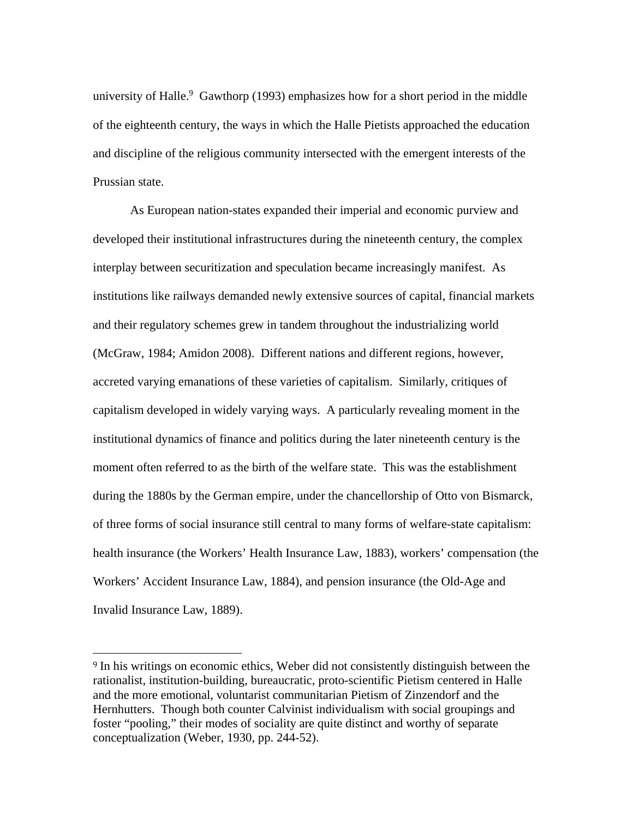university of Halle. $9$  Gawthorp (1993) emphasizes how for a short period in the middle of the eighteenth century, the ways in which the Halle Pietists approached the education and discipline of the religious community intersected with the emergent interests of the Prussian state.

As European nation-states expanded their imperial and economic purview and developed their institutional infrastructures during the nineteenth century, the complex interplay between securitization and speculation became increasingly manifest. As institutions like railways demanded newly extensive sources of capital, financial markets and their regulatory schemes grew in tandem throughout the industrializing world (McGraw, 1984; Amidon 2008). Different nations and different regions, however, accreted varying emanations of these varieties of capitalism. Similarly, critiques of capitalism developed in widely varying ways. A particularly revealing moment in the institutional dynamics of finance and politics during the later nineteenth century is the moment often referred to as the birth of the welfare state. This was the establishment during the 1880s by the German empire, under the chancellorship of Otto von Bismarck, of three forms of social insurance still central to many forms of welfare-state capitalism: health insurance (the Workers' Health Insurance Law, 1883), workers' compensation (the Workers' Accident Insurance Law, 1884), and pension insurance (the Old-Age and Invalid Insurance Law, 1889).

<sup>&</sup>lt;sup>9</sup> In his writings on economic ethics, Weber did not consistently distinguish between the rationalist, institution-building, bureaucratic, proto-scientific Pietism centered in Halle and the more emotional, voluntarist communitarian Pietism of Zinzendorf and the Hernhutters. Though both counter Calvinist individualism with social groupings and foster "pooling," their modes of sociality are quite distinct and worthy of separate conceptualization (Weber, 1930, pp. 244-52).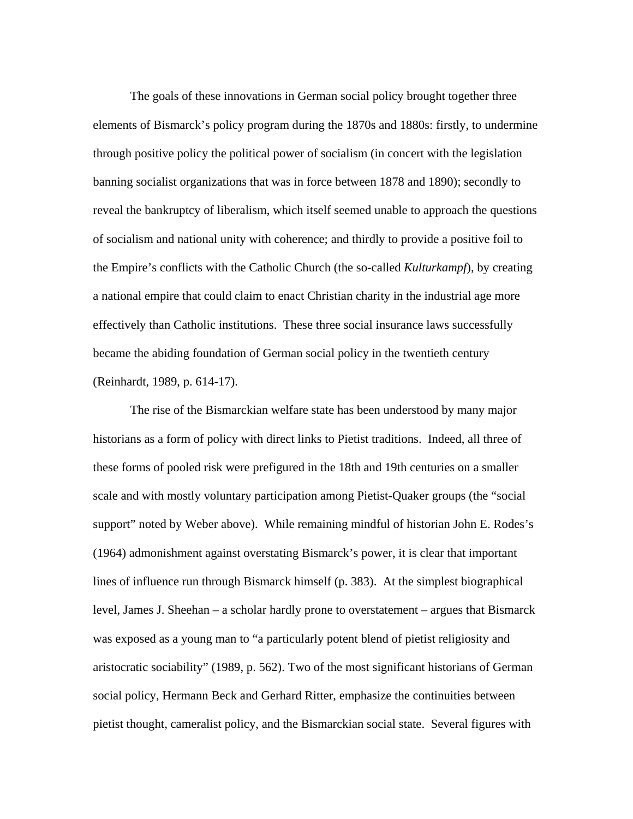The goals of these innovations in German social policy brought together three elements of Bismarck's policy program during the 1870s and 1880s: firstly, to undermine through positive policy the political power of socialism (in concert with the legislation banning socialist organizations that was in force between 1878 and 1890); secondly to reveal the bankruptcy of liberalism, which itself seemed unable to approach the questions of socialism and national unity with coherence; and thirdly to provide a positive foil to the Empire's conflicts with the Catholic Church (the so-called *Kulturkampf*), by creating a national empire that could claim to enact Christian charity in the industrial age more effectively than Catholic institutions. These three social insurance laws successfully became the abiding foundation of German social policy in the twentieth century (Reinhardt, 1989, p. 614-17).

 The rise of the Bismarckian welfare state has been understood by many major historians as a form of policy with direct links to Pietist traditions. Indeed, all three of these forms of pooled risk were prefigured in the 18th and 19th centuries on a smaller scale and with mostly voluntary participation among Pietist-Quaker groups (the "social support" noted by Weber above). While remaining mindful of historian John E. Rodes's (1964) admonishment against overstating Bismarck's power, it is clear that important lines of influence run through Bismarck himself (p. 383). At the simplest biographical level, James J. Sheehan – a scholar hardly prone to overstatement – argues that Bismarck was exposed as a young man to "a particularly potent blend of pietist religiosity and aristocratic sociability" (1989, p. 562). Two of the most significant historians of German social policy, Hermann Beck and Gerhard Ritter, emphasize the continuities between pietist thought, cameralist policy, and the Bismarckian social state. Several figures with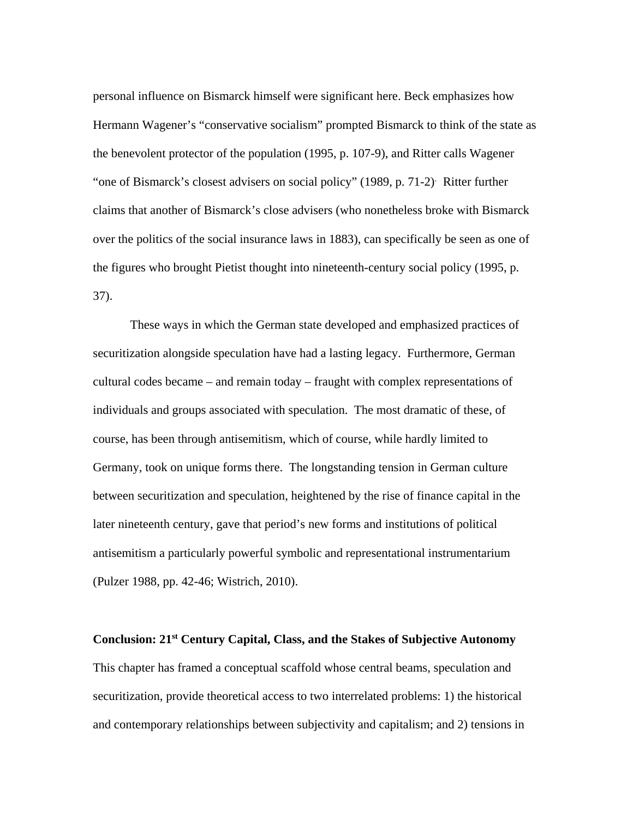personal influence on Bismarck himself were significant here. Beck emphasizes how Hermann Wagener's "conservative socialism" prompted Bismarck to think of the state as the benevolent protector of the population (1995, p. 107-9), and Ritter calls Wagener "one of Bismarck's closest advisers on social policy" (1989, p. 71-2) Ritter further claims that another of Bismarck's close advisers (who nonetheless broke with Bismarck over the politics of the social insurance laws in 1883), can specifically be seen as one of the figures who brought Pietist thought into nineteenth-century social policy (1995, p. 37).

 These ways in which the German state developed and emphasized practices of securitization alongside speculation have had a lasting legacy. Furthermore, German cultural codes became – and remain today – fraught with complex representations of individuals and groups associated with speculation. The most dramatic of these, of course, has been through antisemitism, which of course, while hardly limited to Germany, took on unique forms there. The longstanding tension in German culture between securitization and speculation, heightened by the rise of finance capital in the later nineteenth century, gave that period's new forms and institutions of political antisemitism a particularly powerful symbolic and representational instrumentarium (Pulzer 1988, pp. 42-46; Wistrich, 2010).

**Conclusion: 21st Century Capital, Class, and the Stakes of Subjective Autonomy** This chapter has framed a conceptual scaffold whose central beams, speculation and securitization, provide theoretical access to two interrelated problems: 1) the historical and contemporary relationships between subjectivity and capitalism; and 2) tensions in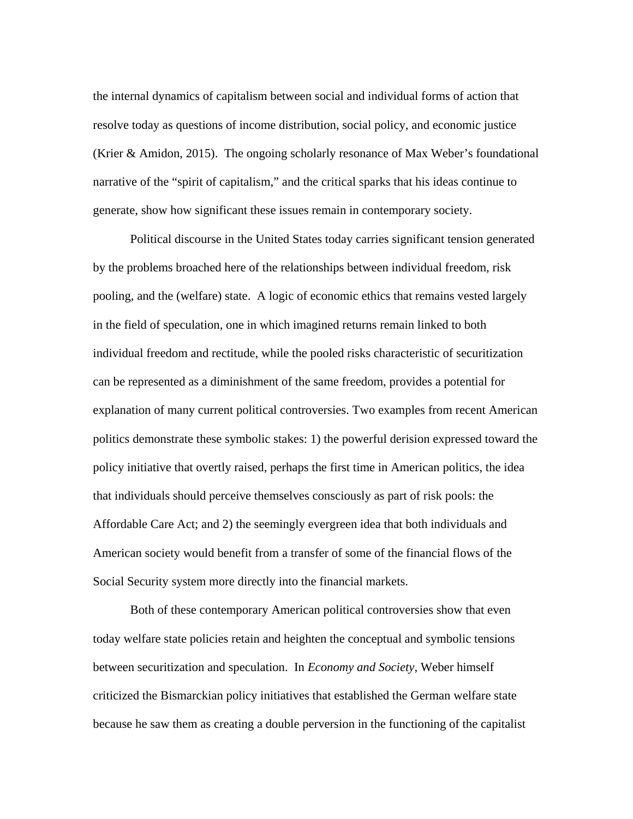the internal dynamics of capitalism between social and individual forms of action that resolve today as questions of income distribution, social policy, and economic justice (Krier & Amidon, 2015). The ongoing scholarly resonance of Max Weber's foundational narrative of the "spirit of capitalism," and the critical sparks that his ideas continue to generate, show how significant these issues remain in contemporary society.

 Political discourse in the United States today carries significant tension generated by the problems broached here of the relationships between individual freedom, risk pooling, and the (welfare) state. A logic of economic ethics that remains vested largely in the field of speculation, one in which imagined returns remain linked to both individual freedom and rectitude, while the pooled risks characteristic of securitization can be represented as a diminishment of the same freedom, provides a potential for explanation of many current political controversies. Two examples from recent American politics demonstrate these symbolic stakes: 1) the powerful derision expressed toward the policy initiative that overtly raised, perhaps the first time in American politics, the idea that individuals should perceive themselves consciously as part of risk pools: the Affordable Care Act; and 2) the seemingly evergreen idea that both individuals and American society would benefit from a transfer of some of the financial flows of the Social Security system more directly into the financial markets.

 Both of these contemporary American political controversies show that even today welfare state policies retain and heighten the conceptual and symbolic tensions between securitization and speculation. In *Economy and Society*, Weber himself criticized the Bismarckian policy initiatives that established the German welfare state because he saw them as creating a double perversion in the functioning of the capitalist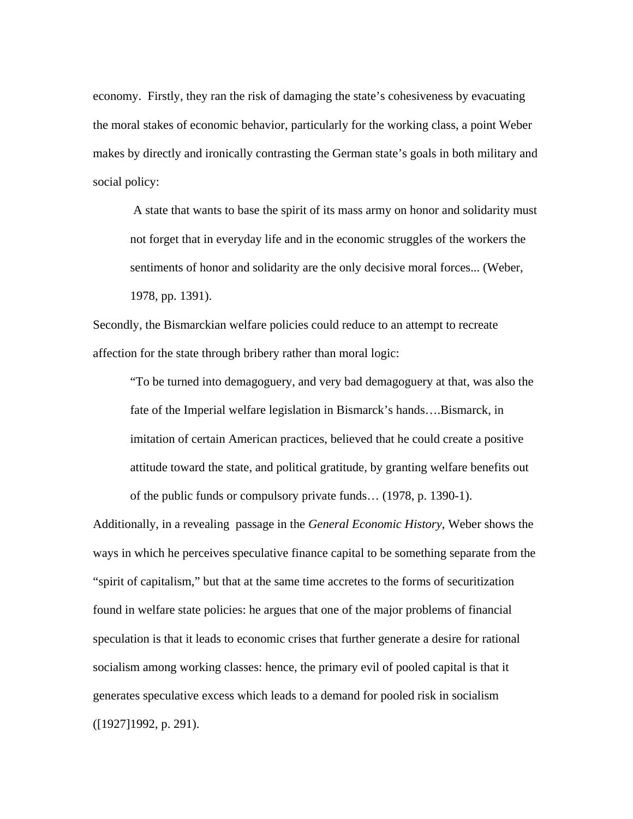economy. Firstly, they ran the risk of damaging the state's cohesiveness by evacuating the moral stakes of economic behavior, particularly for the working class, a point Weber makes by directly and ironically contrasting the German state's goals in both military and social policy:

 A state that wants to base the spirit of its mass army on honor and solidarity must not forget that in everyday life and in the economic struggles of the workers the sentiments of honor and solidarity are the only decisive moral forces... (Weber, 1978, pp. 1391).

Secondly, the Bismarckian welfare policies could reduce to an attempt to recreate affection for the state through bribery rather than moral logic:

"To be turned into demagoguery, and very bad demagoguery at that, was also the fate of the Imperial welfare legislation in Bismarck's hands….Bismarck, in imitation of certain American practices, believed that he could create a positive attitude toward the state, and political gratitude, by granting welfare benefits out of the public funds or compulsory private funds… (1978, p. 1390-1).

Additionally, in a revealing passage in the *General Economic History*, Weber shows the ways in which he perceives speculative finance capital to be something separate from the "spirit of capitalism," but that at the same time accretes to the forms of securitization found in welfare state policies: he argues that one of the major problems of financial speculation is that it leads to economic crises that further generate a desire for rational socialism among working classes: hence, the primary evil of pooled capital is that it generates speculative excess which leads to a demand for pooled risk in socialism ([1927]1992, p. 291).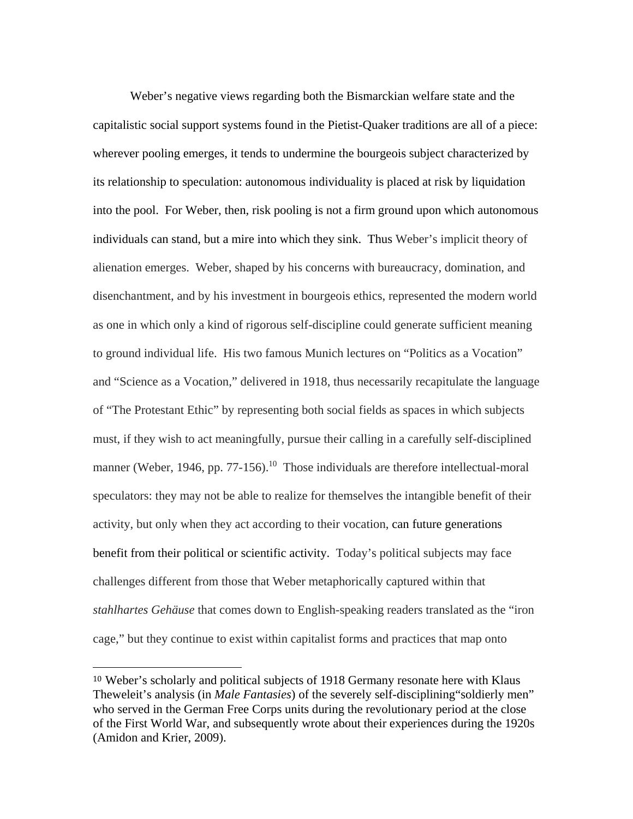Weber's negative views regarding both the Bismarckian welfare state and the capitalistic social support systems found in the Pietist-Quaker traditions are all of a piece: wherever pooling emerges, it tends to undermine the bourgeois subject characterized by its relationship to speculation: autonomous individuality is placed at risk by liquidation into the pool. For Weber, then, risk pooling is not a firm ground upon which autonomous individuals can stand, but a mire into which they sink. Thus Weber's implicit theory of alienation emerges. Weber, shaped by his concerns with bureaucracy, domination, and disenchantment, and by his investment in bourgeois ethics, represented the modern world as one in which only a kind of rigorous self-discipline could generate sufficient meaning to ground individual life. His two famous Munich lectures on "Politics as a Vocation" and "Science as a Vocation," delivered in 1918, thus necessarily recapitulate the language of "The Protestant Ethic" by representing both social fields as spaces in which subjects must, if they wish to act meaningfully, pursue their calling in a carefully self-disciplined manner (Weber, 1946, pp. 77-156).<sup>10</sup> Those individuals are therefore intellectual-moral speculators: they may not be able to realize for themselves the intangible benefit of their activity, but only when they act according to their vocation, can future generations benefit from their political or scientific activity. Today's political subjects may face challenges different from those that Weber metaphorically captured within that *stahlhartes Gehäuse* that comes down to English-speaking readers translated as the "iron cage," but they continue to exist within capitalist forms and practices that map onto

<sup>10</sup> Weber's scholarly and political subjects of 1918 Germany resonate here with Klaus Theweleit's analysis (in *Male Fantasies*) of the severely self-disciplining"soldierly men" who served in the German Free Corps units during the revolutionary period at the close of the First World War, and subsequently wrote about their experiences during the 1920s (Amidon and Krier, 2009).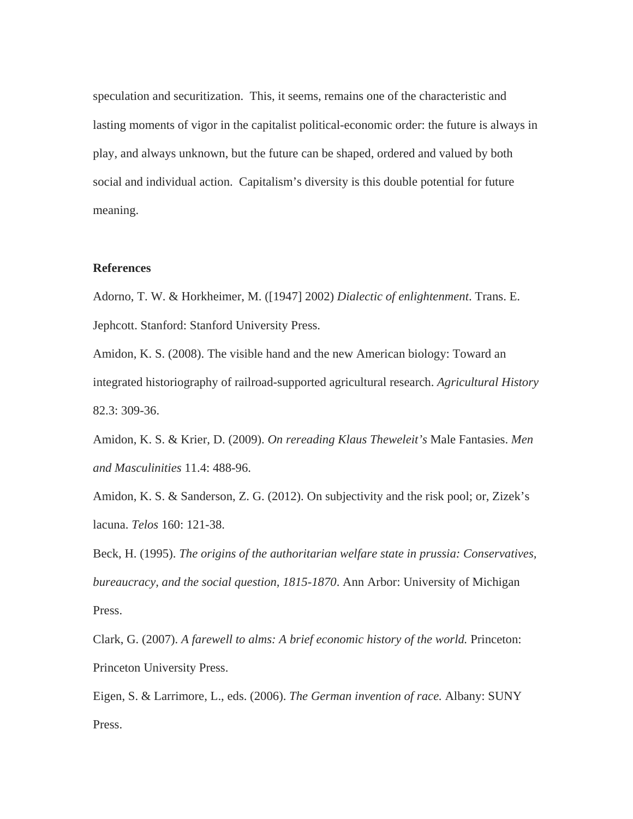speculation and securitization. This, it seems, remains one of the characteristic and lasting moments of vigor in the capitalist political-economic order: the future is always in play, and always unknown, but the future can be shaped, ordered and valued by both social and individual action. Capitalism's diversity is this double potential for future meaning.

## **References**

Adorno, T. W. & Horkheimer, M. ([1947] 2002) *Dialectic of enlightenment*. Trans. E. Jephcott. Stanford: Stanford University Press.

Amidon, K. S. (2008). The visible hand and the new American biology: Toward an integrated historiography of railroad-supported agricultural research. *Agricultural History* 82.3: 309-36.

Amidon, K. S. & Krier, D. (2009). *On rereading Klaus Theweleit's* Male Fantasies. *Men and Masculinities* 11.4: 488-96.

Amidon, K. S. & Sanderson, Z. G. (2012). On subjectivity and the risk pool; or, Zizek's lacuna. *Telos* 160: 121-38.

Beck, H. (1995). *The origins of the authoritarian welfare state in prussia: Conservatives, bureaucracy, and the social question, 1815-1870*. Ann Arbor: University of Michigan Press.

Clark, G. (2007). *A farewell to alms: A brief economic history of the world.* Princeton: Princeton University Press.

Eigen, S. & Larrimore, L., eds. (2006). *The German invention of race.* Albany: SUNY Press.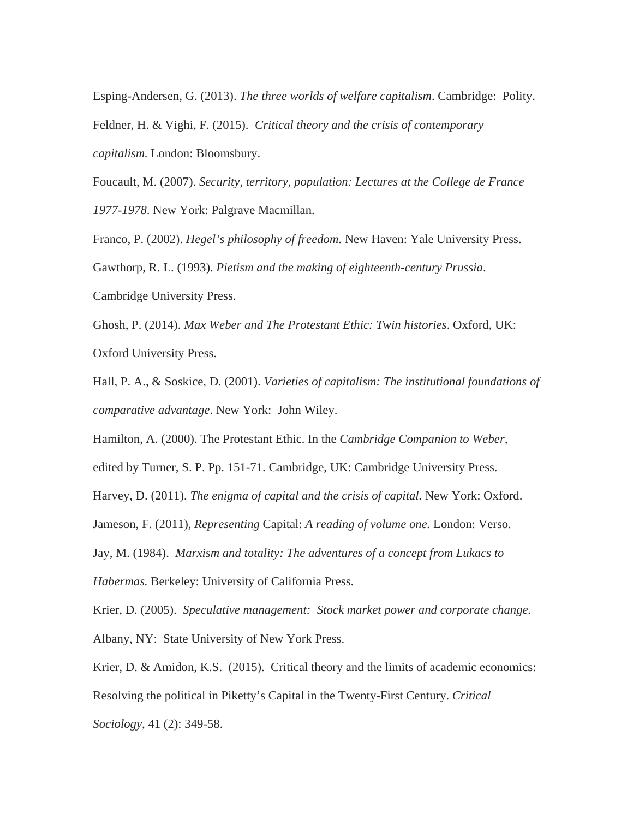Esping-Andersen, G. (2013). *The three worlds of welfare capitalism*. Cambridge: Polity. Feldner, H. & Vighi, F. (2015). *Critical theory and the crisis of contemporary capitalism.* London: Bloomsbury.

Foucault, M. (2007). *Security, territory, population: Lectures at the College de France 1977-1978*. New York: Palgrave Macmillan.

Franco, P. (2002). *Hegel's philosophy of freedom*. New Haven: Yale University Press.

Gawthorp, R. L. (1993). *Pietism and the making of eighteenth-century Prussia*.

Cambridge University Press.

Ghosh, P. (2014). *Max Weber and The Protestant Ethic: Twin histories*. Oxford, UK: Oxford University Press.

Hall, P. A., & Soskice, D. (2001). *Varieties of capitalism: The institutional foundations of comparative advantage*. New York: John Wiley.

Hamilton, A. (2000). The Protestant Ethic. In the *Cambridge Companion to Weber,* 

edited by Turner, S. P. Pp. 151-71. Cambridge, UK: Cambridge University Press.

Harvey, D. (2011). *The enigma of capital and the crisis of capital*. New York: Oxford.

Jameson, F. (2011), *Representing* Capital: *A reading of volume one.* London: Verso.

Jay, M. (1984). *Marxism and totality: The adventures of a concept from Lukacs to* 

*Habermas.* Berkeley: University of California Press.

Krier, D. (2005). *Speculative management: Stock market power and corporate change.*  Albany, NY: State University of New York Press.

Krier, D. & Amidon, K.S. (2015). Critical theory and the limits of academic economics: Resolving the political in Piketty's Capital in the Twenty-First Century. *Critical Sociology*, 41 (2): 349-58.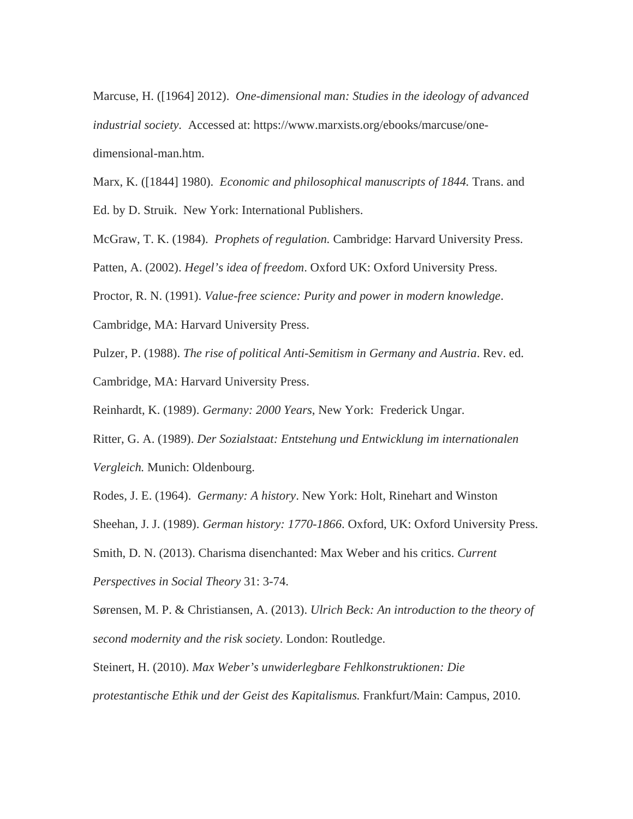Marcuse, H. ([1964] 2012). *One-dimensional man: Studies in the ideology of advanced industrial society.* Accessed at: https://www.marxists.org/ebooks/marcuse/onedimensional-man.htm.

Marx, K. ([1844] 1980). *Economic and philosophical manuscripts of 1844.* Trans. and Ed. by D. Struik. New York: International Publishers.

McGraw, T. K. (1984). *Prophets of regulation.* Cambridge: Harvard University Press.

Patten, A. (2002). *Hegel's idea of freedom*. Oxford UK: Oxford University Press.

Proctor, R. N. (1991). *Value-free science: Purity and power in modern knowledge*.

Cambridge, MA: Harvard University Press.

Pulzer, P. (1988). *The rise of political Anti-Semitism in Germany and Austria*. Rev. ed.

Cambridge, MA: Harvard University Press.

Reinhardt, K. (1989). *Germany: 2000 Years*, New York: Frederick Ungar.

Ritter, G. A. (1989). *Der Sozialstaat: Entstehung und Entwicklung im internationalen* 

*Vergleich.* Munich: Oldenbourg.

Rodes, J. E. (1964). *Germany: A history*. New York: Holt, Rinehart and Winston

Sheehan, J. J. (1989). *German history: 1770-1866*. Oxford, UK: Oxford University Press.

Smith, D. N. (2013). Charisma disenchanted: Max Weber and his critics. *Current* 

*Perspectives in Social Theory* 31: 3-74.

Sørensen, M. P. & Christiansen, A. (2013). *Ulrich Beck: An introduction to the theory of second modernity and the risk society.* London: Routledge.

Steinert, H. (2010). *Max Weber's unwiderlegbare Fehlkonstruktionen: Die protestantische Ethik und der Geist des Kapitalismus.* Frankfurt/Main: Campus, 2010.